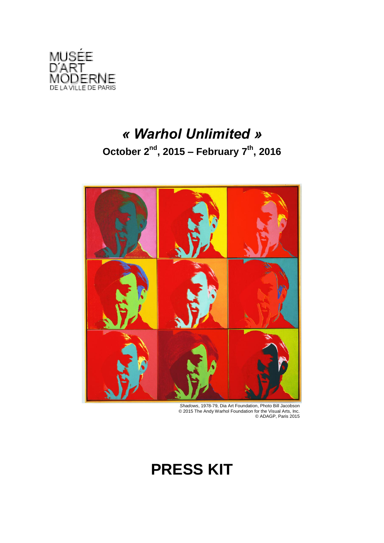

## *« Warhol Unlimited »* **October 2nd, 2015 – February 7th , 2016**



*Shadows*, 1978-79, Dia Art Foundation, Photo Bill Jacobson © 2015 The Andy Warhol Foundation for the Visual Arts, Inc. © ADAGP, Paris 2015

## **PRESS KIT**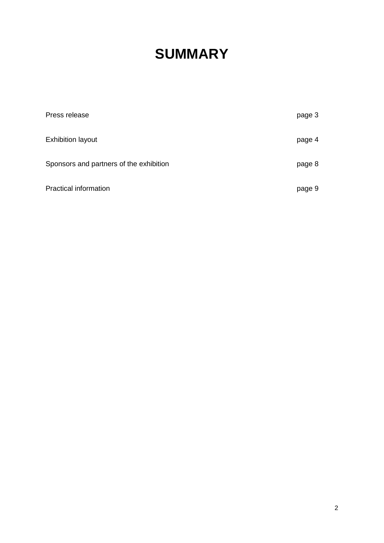# **SUMMARY**

| Press release                           | page 3 |
|-----------------------------------------|--------|
| <b>Exhibition layout</b>                | page 4 |
| Sponsors and partners of the exhibition | page 8 |
| <b>Practical information</b>            | page 9 |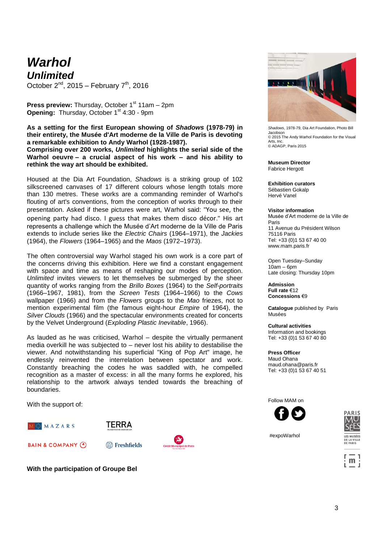### *Warhol Unlimited*

October  $2^{nd}$ , 2015 – February  $7^{th}$ , 2016

**Press preview:** Thursday, October 1<sup>st</sup> 11am – 2pm **Opening:** Thursday, October 1<sup>st</sup> 4:30 - 9pm

**As a setting for the first European showing of** *Shadows* **(1978-79) in their entirety, the Musée d'Art moderne de la Ville de Paris is devoting a remarkable exhibition to Andy Warhol (1928-1987). Comprising over 200 works,** *Unlimited* **highlights the serial side of the Warhol oeuvre – a crucial aspect of his work – and his ability to rethink the way art should be exhibited.**

Housed at the Dia Art Foundation, *Shadows* is a striking group of 102 silkscreened canvases of 17 different colours whose length totals more than 130 metres. These works are a commanding reminder of Warhol's flouting of art's conventions, from the conception of works through to their presentation. Asked if these pictures were art, Warhol said: "You see, the opening party had disco. I guess that makes them disco décor." His art represents a challenge which the Musée d'Art moderne de la Ville de Paris extends to include series like the *Electric Chairs* (1964–1971), the *Jackies*  (1964), the *Flowers* (1964–1965) and the *Maos* (1972–1973).

The often controversial way Warhol staged his own work is a core part of the concerns driving this exhibition. Here we find a constant engagement with space and time as means of reshaping our modes of perception. *Unlimited* invites viewers to let themselves be submerged by the sheer quantity of works ranging from the *Brillo Boxes* (1964) to the *Self-portraits* (1966–1967, 1981), from the *Screen Tests* (1964–1966) to the *Cows* wallpaper (1966) and from the *Flowers* groups to the *Mao* friezes, not to mention experimental film (the famous eight-hour *Empire* of 1964), the *Silver Clouds* (1966) and the spectacular environments created for concerts by the Velvet Underground (*Exploding Plastic Inevitable*, 1966).

As lauded as he was criticised, Warhol – despite the virtually permanent media overkill he was subjected to – never lost his ability to destabilise the viewer. And notwithstanding his superficial "King of Pop Art" image, he endlessly reinvented the interrelation between spectator and work. Constantly breaching the codes he was saddled with, he compelled recognition as a master of excess: in all the many forms he explored, his relationship to the artwork always tended towards the breaching of boundaries.

With the support of:



**BAIN & COMPANY 4** 



TERRA



**With the participation of Groupe Bel**



*Shadows*, 1978-79, Dia Art Foundation, Photo Bill Jacobson © 2015 The Andy Warhol Foundation for the Visual Arts, Inc. © ADAGP, Paris 2015

**Museum Director** Fabrice Hergott

**Exhibition curators** Sébastien Gokalp Hervé Vanel

#### **Visitor information**

Musée d'Art moderne de la Ville de Paris 11 Avenue du Président Wilson 75116 Paris Tel: +33 (0)1 53 67 40 00 www.mam.paris.fr

Open Tuesday–Sunday  $10$ am – 6pm Late closing: Thursday 10pm

**Admission Full rate** €12 **Concessions** €9

**Catalogue** published by Paris Musées

**Cultural activities** Information and bookings Tel: +33 (0)1 53 67 40 80

**Press Officer**

Maud Ohana maud.ohana@paris.fr Tel: +33 (0)1 53 67 40 51

Follow MAM on





#expoWarhol

 $m$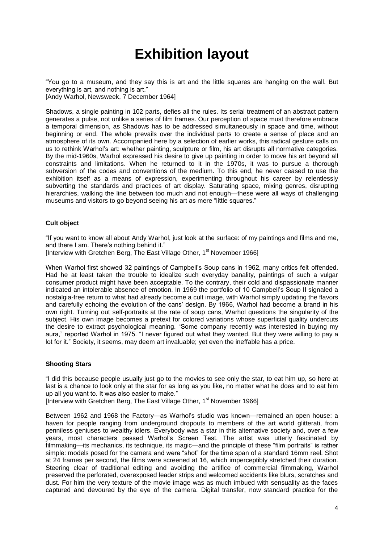### **Exhibition layout**

"You go to a museum, and they say this is art and the little squares are hanging on the wall. But everything is art, and nothing is art." [Andy Warhol, Newsweek, 7 December 1964]

Shadows, a single painting in 102 parts, defies all the rules. Its serial treatment of an abstract pattern generates a pulse, not unlike a series of film frames. Our perception of space must therefore embrace a temporal dimension, as Shadows has to be addressed simultaneously in space and time, without beginning or end. The whole prevails over the individual parts to create a sense of place and an atmosphere of its own. Accompanied here by a selection of earlier works, this radical gesture calls on us to rethink Warhol's art: whether painting, sculpture or film, his art disrupts all normative categories. By the mid-1960s, Warhol expressed his desire to give up painting in order to move his art beyond all constraints and limitations. When he returned to it in the 1970s, it was to pursue a thorough subversion of the codes and conventions of the medium. To this end, he never ceased to use the exhibition itself as a means of expression, experimenting throughout his career by relentlessly subverting the standards and practices of art display. Saturating space, mixing genres, disrupting hierarchies, walking the line between too much and not enough—these were all ways of challenging museums and visitors to go beyond seeing his art as mere "little squares."

### **Cult object**

"If you want to know all about Andy Warhol, just look at the surface: of my paintings and films and me, and there I am. There's nothing behind it."

[Interview with Gretchen Berg, The East Village Other, 1<sup>st</sup> November 1966]

When Warhol first showed 32 paintings of Campbell's Soup cans in 1962, many critics felt offended. Had he at least taken the trouble to idealize such everyday banality, paintings of such a vulgar consumer product might have been acceptable. To the contrary, their cold and dispassionate manner indicated an intolerable absence of emotion. In 1969 the portfolio of 10 Campbell's Soup II signaled a nostalgia-free return to what had already become a cult image, with Warhol simply updating the flavors and carefully echoing the evolution of the cans' design. By 1966, Warhol had become a brand in his own right. Turning out self-portraits at the rate of soup cans, Warhol questions the singularity of the subject. His own image becomes a pretext for colored variations whose superficial quality undercuts the desire to extract psychological meaning. "Some company recently was interested in buying my aura," reported Warhol in 1975. "I never figured out what they wanted. But they were willing to pay a lot for it." Society, it seems, may deem art invaluable; yet even the ineffable has a price.

### **Shooting Stars**

"I did this because people usually just go to the movies to see only the star, to eat him up, so here at last is a chance to look only at the star for as long as you like, no matter what he does and to eat him up all you want to. It was also easier to make."

[Interview with Gretchen Berg, The East Village Other, 1<sup>st</sup> November 1966]

Between 1962 and 1968 the Factory—as Warhol's studio was known—remained an open house: a haven for people ranging from underground dropouts to members of the art world glitterati, from penniless geniuses to wealthy idlers. Everybody was a star in this alternative society and, over a few years, most characters passed Warhol's Screen Test. The artist was utterly fascinated by filmmaking—its mechanics, its technique, its magic—and the principle of these "film portraits" is rather simple: models posed for the camera and were "shot" for the time span of a standard 16mm reel. Shot at 24 frames per second, the films were screened at 16, which imperceptibly stretched their duration. Steering clear of traditional editing and avoiding the artifice of commercial filmmaking, Warhol preserved the perforated, overexposed leader strips and welcomed accidents like blurs, scratches and dust. For him the very texture of the movie image was as much imbued with sensuality as the faces captured and devoured by the eye of the camera. Digital transfer, now standard practice for the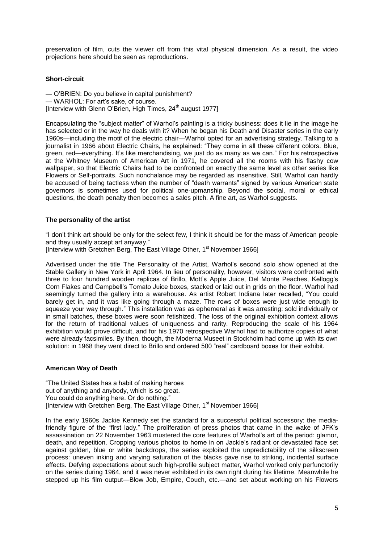preservation of film, cuts the viewer off from this vital physical dimension. As a result, the video projections here should be seen as reproductions.

#### **Short-circuit**

— O'BRIEN: Do you believe in capital punishment? — WARHOL: For art's sake, of course. [Interview with Glenn O'Brien, High Times,  $24<sup>th</sup>$  august 1977]

Encapsulating the "subject matter" of Warhol's painting is a tricky business: does it lie in the image he has selected or in the way he deals with it? When he began his Death and Disaster series in the early 1960s—including the motif of the electric chair—Warhol opted for an advertising strategy. Talking to a journalist in 1966 about Electric Chairs, he explained: "They come in all these different colors. Blue, green, red—everything. It's like merchandising, we just do as many as we can." For his retrospective at the Whitney Museum of American Art in 1971, he covered all the rooms with his flashy cow wallpaper, so that Electric Chairs had to be confronted on exactly the same level as other series like Flowers or Self-portraits. Such nonchalance may be regarded as insensitive. Still, Warhol can hardly be accused of being tactless when the number of "death warrants" signed by various American state governors is sometimes used for political one-upmanship. Beyond the social, moral or ethical questions, the death penalty then becomes a sales pitch. A fine art, as Warhol suggests.

#### **The personality of the artist**

"I don't think art should be only for the select few, I think it should be for the mass of American people and they usually accept art anyway."

[Interview with Gretchen Berg, The East Village Other, 1<sup>st</sup> November 1966]

Advertised under the title The Personality of the Artist, Warhol's second solo show opened at the Stable Gallery in New York in April 1964. In lieu of personality, however, visitors were confronted with three to four hundred wooden replicas of Brillo, Mott's Apple Juice, Del Monte Peaches, Kellogg's Corn Flakes and Campbell's Tomato Juice boxes, stacked or laid out in grids on the floor. Warhol had seemingly turned the gallery into a warehouse. As artist Robert Indiana later recalled, "You could barely get in, and it was like going through a maze. The rows of boxes were just wide enough to squeeze your way through." This installation was as ephemeral as it was arresting: sold individually or in small batches, these boxes were soon fetishized. The loss of the original exhibition context allows for the return of traditional values of uniqueness and rarity. Reproducing the scale of his 1964 exhibition would prove difficult, and for his 1970 retrospective Warhol had to authorize copies of what were already facsimiles. By then, though, the Moderna Museet in Stockholm had come up with its own solution: in 1968 they went direct to Brillo and ordered 500 "real" cardboard boxes for their exhibit.

#### **American Way of Death**

"The United States has a habit of making heroes out of anything and anybody, which is so great. You could do anything here. Or do nothing." [Interview with Gretchen Berg, The East Village Other, 1<sup>st</sup> November 1966]

In the early 1960s Jackie Kennedy set the standard for a successful political accessory: the mediafriendly figure of the "first lady." The proliferation of press photos that came in the wake of JFK's assassination on 22 November 1963 mustered the core features of Warhol's art of the period: glamor, death, and repetition. Cropping various photos to home in on Jackie's radiant or devastated face set against golden, blue or white backdrops, the series exploited the unpredictability of the silkscreen process: uneven inking and varying saturation of the blacks gave rise to striking, incidental surface effects. Defying expectations about such high-profile subject matter, Warhol worked only perfunctorily on the series during 1964, and it was never exhibited in its own right during his lifetime. Meanwhile he stepped up his film output—Blow Job, Empire, Couch, etc.—and set about working on his Flowers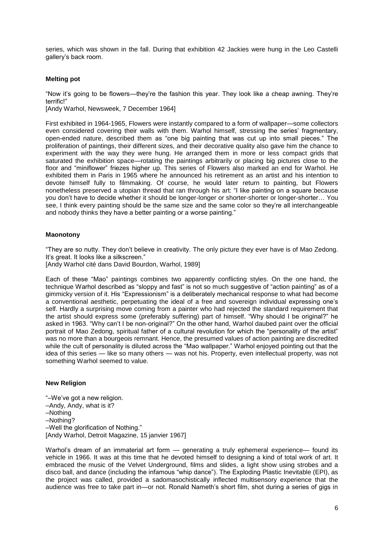series, which was shown in the fall. During that exhibition 42 Jackies were hung in the Leo Castelli gallery's back room.

#### **Melting pot**

"Now it's going to be flowers—they're the fashion this year. They look like a cheap awning. They're terrific!"

[Andy Warhol, Newsweek, 7 December 1964]

First exhibited in 1964-1965, Flowers were instantly compared to a form of wallpaper—some collectors even considered covering their walls with them. Warhol himself, stressing the series' fragmentary, open-ended nature, described them as "one big painting that was cut up into small pieces." The proliferation of paintings, their different sizes, and their decorative quality also gave him the chance to experiment with the way they were hung. He arranged them in more or less compact grids that saturated the exhibition space—rotating the paintings arbitrarily or placing big pictures close to the floor and "miniflower" friezes higher up. This series of Flowers also marked an end for Warhol. He exhibited them in Paris in 1965 where he announced his retirement as an artist and his intention to devote himself fully to filmmaking. Of course, he would later return to painting, but Flowers nonetheless preserved a utopian thread that ran through his art: "I like painting on a square because you don't have to decide whether it should be longer-longer or shorter-shorter or longer-shorter… You see, I think every painting should be the same size and the same color so they're all interchangeable and nobody thinks they have a better painting or a worse painting."

#### **Maonotony**

"They are so nutty. They don't believe in creativity. The only picture they ever have is of Mao Zedong. It's great. It looks like a silkscreen."

[Andy Warhol cité dans David Bourdon, Warhol, 1989]

Each of these "Mao" paintings combines two apparently conflicting styles. On the one hand, the technique Warhol described as "sloppy and fast" is not so much suggestive of "action painting" as of a gimmicky version of it. His "Expressionism" is a deliberately mechanical response to what had become a conventional aesthetic, perpetuating the ideal of a free and sovereign individual expressing one's self. Hardly a surprising move coming from a painter who had rejected the standard requirement that the artist should express some (preferably suffering) part of himself. "Why should I be original?" he asked in 1963. "Why can't I be non-original?" On the other hand, Warhol daubed paint over the official portrait of Mao Zedong, spiritual father of a cultural revolution for which the "personality of the artist" was no more than a bourgeois remnant. Hence, the presumed values of action painting are discredited while the cult of personality is diluted across the "Mao wallpaper." Warhol enjoyed pointing out that the idea of this series — like so many others — was not his. Property, even intellectual property, was not something Warhol seemed to value.

#### **New Religion**

"–We've got a new religion. –Andy, Andy, what is it? –Nothing –Nothing? –Well the glorification of Nothing." [Andy Warhol, Detroit Magazine, 15 janvier 1967]

Warhol's dream of an immaterial art form — generating a truly ephemeral experience— found its vehicle in 1966. It was at this time that he devoted himself to designing a kind of total work of art. It embraced the music of the Velvet Underground, films and slides, a light show using strobes and a disco ball, and dance (including the infamous "whip dance"). The Exploding Plastic Inevitable (EPI), as the project was called, provided a sadomasochistically inflected multisensory experience that the audience was free to take part in—or not. Ronald Nameth's short film, shot during a series of gigs in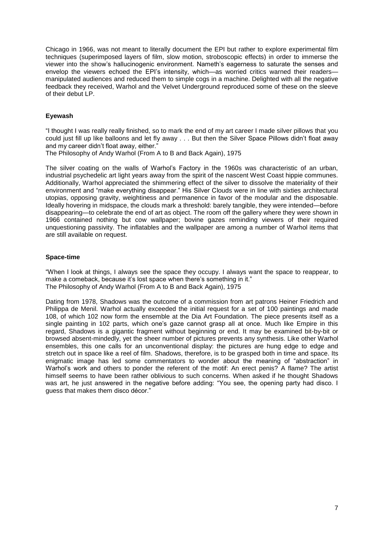Chicago in 1966, was not meant to literally document the EPI but rather to explore experimental film techniques (superimposed layers of film, slow motion, stroboscopic effects) in order to immerse the viewer into the show's hallucinogenic environment. Nameth's eagerness to saturate the senses and envelop the viewers echoed the EPI's intensity, which—as worried critics warned their readers manipulated audiences and reduced them to simple cogs in a machine. Delighted with all the negative feedback they received, Warhol and the Velvet Underground reproduced some of these on the sleeve of their debut LP.

### **Eyewash**

"I thought I was really really finished, so to mark the end of my art career I made silver pillows that you could just fill up like balloons and let fly away . . . But then the Silver Space Pillows didn't float away and my career didn't float away, either."

The Philosophy of Andy Warhol (From A to B and Back Again), 1975

The silver coating on the walls of Warhol's Factory in the 1960s was characteristic of an urban, industrial psychedelic art light years away from the spirit of the nascent West Coast hippie communes. Additionally, Warhol appreciated the shimmering effect of the silver to dissolve the materiality of their environment and "make everything disappear." His Silver Clouds were in line with sixties architectural utopias, opposing gravity, weightiness and permanence in favor of the modular and the disposable. Ideally hovering in midspace, the clouds mark a threshold: barely tangible, they were intended—before disappearing—to celebrate the end of art as object. The room off the gallery where they were shown in 1966 contained nothing but cow wallpaper; bovine gazes reminding viewers of their required unquestioning passivity. The inflatables and the wallpaper are among a number of Warhol items that are still available on request.

### **Space-time**

"When I look at things, I always see the space they occupy. I always want the space to reappear, to make a comeback, because it's lost space when there's something in it." The Philosophy of Andy Warhol (From A to B and Back Again), 1975

Dating from 1978, Shadows was the outcome of a commission from art patrons Heiner Friedrich and Philippa de Menil. Warhol actually exceeded the initial request for a set of 100 paintings and made 108, of which 102 now form the ensemble at the Dia Art Foundation. The piece presents itself as a single painting in 102 parts, which one's gaze cannot grasp all at once. Much like Empire in this regard, Shadows is a gigantic fragment without beginning or end. It may be examined bit-by-bit or browsed absent-mindedly, yet the sheer number of pictures prevents any synthesis. Like other Warhol ensembles, this one calls for an unconventional display: the pictures are hung edge to edge and stretch out in space like a reel of film. Shadows, therefore, is to be grasped both in time and space. Its enigmatic image has led some commentators to wonder about the meaning of "abstraction" in Warhol's work and others to ponder the referent of the motif: An erect penis? A flame? The artist himself seems to have been rather oblivious to such concerns. When asked if he thought Shadows was art, he just answered in the negative before adding: "You see, the opening party had disco. I guess that makes them disco décor."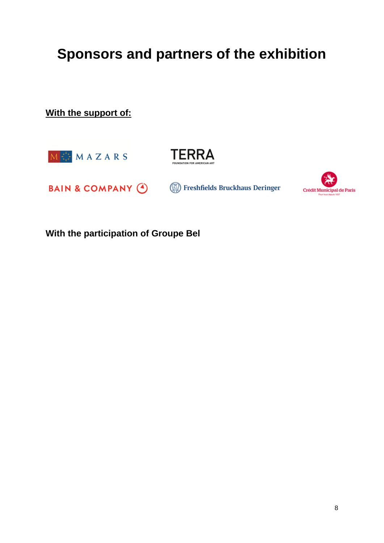# **Sponsors and partners of the exhibition**

**With the support of:**





**BAIN & COMPANY @** Freshfields Bruckhaus Deringer



**With the participation of Groupe Bel**